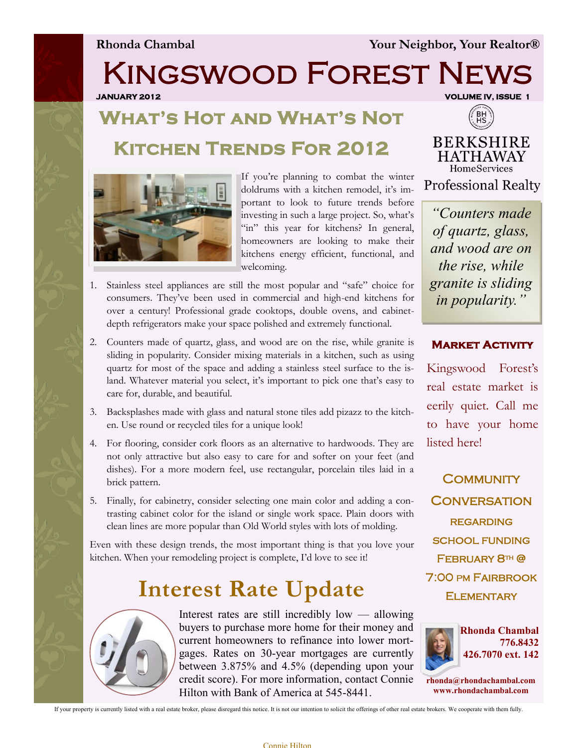**Rhonda Chambal Your Neighbor, Your Realtor®**

Kingswood Forest News

**JANUARY 2012 VOLUME IV, ISSUE 1** 

# **What's Hot and What's Not Kitchen Trends For 2012**



If you're planning to combat the winter doldrums with a kitchen remodel, it's important to look to future trends before investing in such a large project. So, what's "in" this year for kitchens? In general, homeowners are looking to make their kitchens energy efficient, functional, and welcoming.

- 1. Stainless steel appliances are still the most popular and "safe" choice for consumers. They've been used in commercial and high-end kitchens for over a century! Professional grade cooktops, double ovens, and cabinetdepth refrigerators make your space polished and extremely functional.
- 2. Counters made of quartz, glass, and wood are on the rise, while granite is sliding in popularity. Consider mixing materials in a kitchen, such as using quartz for most of the space and adding a stainless steel surface to the island. Whatever material you select, it's important to pick one that's easy to care for, durable, and beautiful.
- 3. Backsplashes made with glass and natural stone tiles add pizazz to the kitchen. Use round or recycled tiles for a unique look!
- 4. For flooring, consider cork floors as an alternative to hardwoods. They are not only attractive but also easy to care for and softer on your feet (and dishes). For a more modern feel, use rectangular, porcelain tiles laid in a brick pattern.
- 5. Finally, for cabinetry, consider selecting one main color and adding a contrasting cabinet color for the island or single work space. Plain doors with clean lines are more popular than Old World styles with lots of molding.

Even with these design trends, the most important thing is that you love your kitchen. When your remodeling project is complete, I'd love to see it!

## **Interest Rate Update**



Interest rates are still incredibly low — allowing buyers to purchase more home for their money and current homeowners to refinance into lower mortgages. Rates on 30-year mortgages are currently between 3.875% and 4.5% (depending upon your credit score). For more information, contact Connie Hilton with Bank of America at 545-8441.



**BERKSHIRE HATHAWAY** HomeServices **Professional Realty** 

*"Counters made of quartz, glass, and wood are on the rise, while granite is sliding in popularity."*

### **Market Activity**

Kingswood Forest's real estate market is eerily quiet. Call me to have your home listed here!

**COMMUNITY CONVERSATION REGARDING** school funding February 8th @ 7:00 PM Fairbrook **ELEMENTARY** 



**rhonda@rhondachambal.com www.rhondachambal.com**

If your property is currently listed with a real estate broker, please disregard this notice. It is not our intention to solicit the offerings of other real estate brokers. We cooperate with them fully.

### Connie Hilton